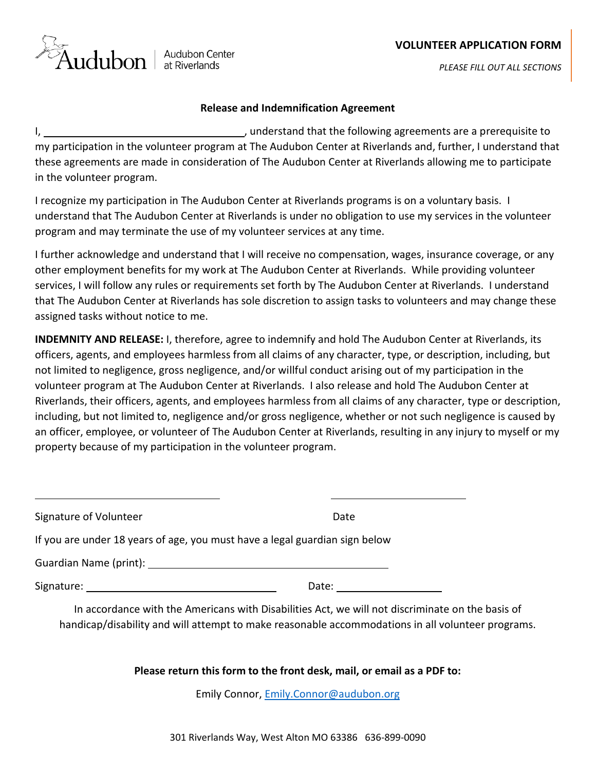## **VOLUNTEER APPLICATION FORM**



*PLEASE FILL OUT ALL SECTIONS*

## **Release and Indemnification Agreement**

I,  $\frac{1}{2}$  and erstand that the following agreements are a prerequisite to my participation in the volunteer program at The Audubon Center at Riverlands and, further, I understand that these agreements are made in consideration of The Audubon Center at Riverlands allowing me to participate in the volunteer program.

I recognize my participation in The Audubon Center at Riverlands programs is on a voluntary basis. I understand that The Audubon Center at Riverlands is under no obligation to use my services in the volunteer program and may terminate the use of my volunteer services at any time.

I further acknowledge and understand that I will receive no compensation, wages, insurance coverage, or any other employment benefits for my work at The Audubon Center at Riverlands. While providing volunteer services, I will follow any rules or requirements set forth by The Audubon Center at Riverlands. I understand that The Audubon Center at Riverlands has sole discretion to assign tasks to volunteers and may change these assigned tasks without notice to me.

**INDEMNITY AND RELEASE:** I, therefore, agree to indemnify and hold The Audubon Center at Riverlands, its officers, agents, and employees harmless from all claims of any character, type, or description, including, but not limited to negligence, gross negligence, and/or willful conduct arising out of my participation in the volunteer program at The Audubon Center at Riverlands. I also release and hold The Audubon Center at Riverlands, their officers, agents, and employees harmless from all claims of any character, type or description, including, but not limited to, negligence and/or gross negligence, whether or not such negligence is caused by an officer, employee, or volunteer of The Audubon Center at Riverlands, resulting in any injury to myself or my property because of my participation in the volunteer program.

| Signature of Volunteer                                                                                          | Date              |
|-----------------------------------------------------------------------------------------------------------------|-------------------|
| If you are under 18 years of age, you must have a legal guardian sign below                                     |                   |
| Guardian Name (print): Name and Allen and Allen and Allen and Allen and Allen and Allen and Allen and Allen and |                   |
| Signature: _____________________________                                                                        | Date: ___________ |

In accordance with the Americans with Disabilities Act, we will not discriminate on the basis of handicap/disability and will attempt to make reasonable accommodations in all volunteer programs.

**Please return this form to the front desk, mail, or email as a PDF to:**

Emily Connor, [Emily.Connor@audubon.org](mailto:Emily.Connor@audubon.org)